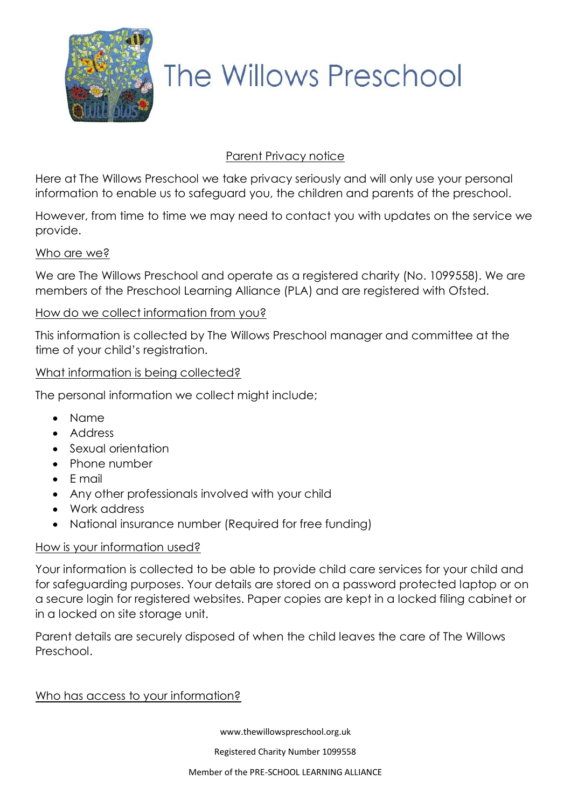

# The Willows Preschool

# Parent Privacy notice

Here at The Willows Preschool we take privacy seriously and will only use your personal information to enable us to safeguard you, the children and parents of the preschool.

However, from time to time we may need to contact you with updates on the service we provide.

#### Who are we?

We are The Willows Preschool and operate as a registered charity (No. 1099558). We are members of the Preschool Learning Alliance (PLA) and are registered with Ofsted.

## How do we collect information from you?

This information is collected by The Willows Preschool manager and committee at the time of your child's registration.

#### What information is being collected?

The personal information we collect might include;

- Name
- Address
- Sexual orientation
- Phone number
- E mail
- Any other professionals involved with your child
- Work address
- National insurance number (Required for free funding)

## How is your information used?

Your information is collected to be able to provide child care services for your child and for safeguarding purposes. Your details are stored on a password protected laptop or on a secure login for registered websites. Paper copies are kept in a locked filing cabinet or in a locked on site storage unit.

Parent details are securely disposed of when the child leaves the care of The Willows Preschool.

## Who has access to your information?

www.thewillowspreschool.org.uk

Registered Charity Number 1099558